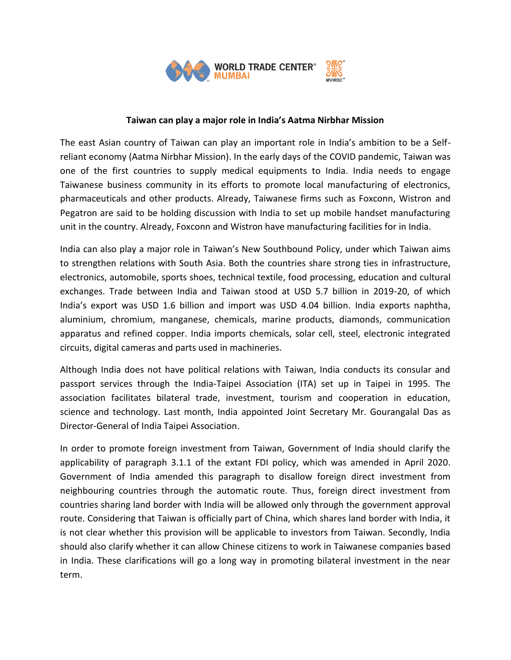

## **Taiwan can play a major role in India's Aatma Nirbhar Mission**

The east Asian country of Taiwan can play an important role in India's ambition to be a Selfreliant economy (Aatma Nirbhar Mission). In the early days of the COVID pandemic, Taiwan was one of the first countries to supply medical equipments to India. India needs to engage Taiwanese business community in its efforts to promote local manufacturing of electronics, pharmaceuticals and other products. Already, Taiwanese firms such as Foxconn, Wistron and Pegatron are said to be holding discussion with India to set up mobile handset manufacturing unit in the country. Already, Foxconn and Wistron have manufacturing facilities for in India.

India can also play a major role in Taiwan's New Southbound Policy, under which Taiwan aims to strengthen relations with South Asia. Both the countries share strong ties in infrastructure, electronics, automobile, sports shoes, technical textile, food processing, education and cultural exchanges. Trade between India and Taiwan stood at USD 5.7 billion in 2019-20, of which India's export was USD 1.6 billion and import was USD 4.04 billion. India exports naphtha, aluminium, chromium, manganese, chemicals, marine products, diamonds, communication apparatus and refined copper. India imports chemicals, solar cell, steel, electronic integrated circuits, digital cameras and parts used in machineries.

Although India does not have political relations with Taiwan, India conducts its consular and passport services through the India-Taipei Association (ITA) set up in Taipei in 1995. The association facilitates bilateral trade, investment, tourism and cooperation in education, science and technology. Last month, India appointed Joint Secretary Mr. Gourangalal Das as Director-General of India Taipei Association.

In order to promote foreign investment from Taiwan, Government of India should clarify the applicability of paragraph 3.1.1 of the extant FDI policy, which was amended in April 2020. Government of India amended this paragraph to disallow foreign direct investment from neighbouring countries through the automatic route. Thus, foreign direct investment from countries sharing land border with India will be allowed only through the government approval route. Considering that Taiwan is officially part of China, which shares land border with India, it is not clear whether this provision will be applicable to investors from Taiwan. Secondly, India should also clarify whether it can allow Chinese citizens to work in Taiwanese companies based in India. These clarifications will go a long way in promoting bilateral investment in the near term.